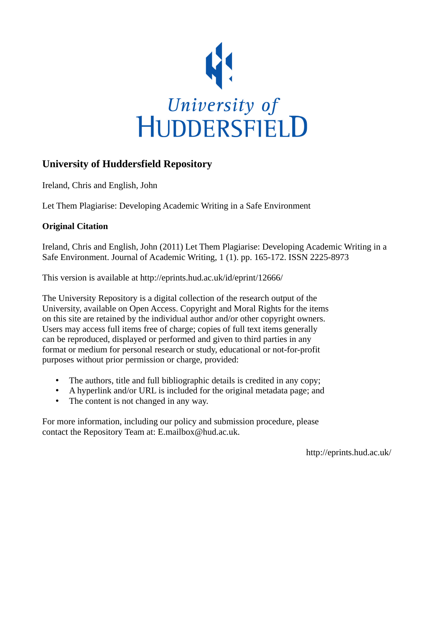

# **University of Huddersfield Repository**

Ireland, Chris and English, John

Let Them Plagiarise: Developing Academic Writing in a Safe Environment

# **Original Citation**

Ireland, Chris and English, John (2011) Let Them Plagiarise: Developing Academic Writing in a Safe Environment. Journal of Academic Writing, 1 (1). pp. 165-172. ISSN 2225-8973

This version is available at http://eprints.hud.ac.uk/id/eprint/12666/

The University Repository is a digital collection of the research output of the University, available on Open Access. Copyright and Moral Rights for the items on this site are retained by the individual author and/or other copyright owners. Users may access full items free of charge; copies of full text items generally can be reproduced, displayed or performed and given to third parties in any format or medium for personal research or study, educational or not-for-profit purposes without prior permission or charge, provided:

- The authors, title and full bibliographic details is credited in any copy;
- A hyperlink and/or URL is included for the original metadata page; and
- The content is not changed in any way.

For more information, including our policy and submission procedure, please contact the Repository Team at: E.mailbox@hud.ac.uk.

http://eprints.hud.ac.uk/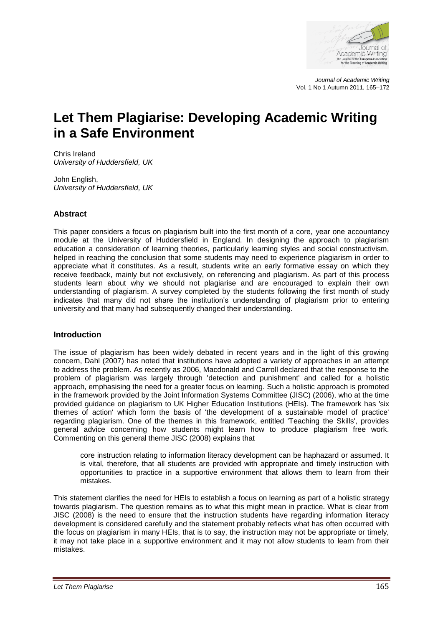

*Journal of Academic Writing* Vol. 1 No 1 Autumn 2011, 165–172

# **Let Them Plagiarise: Developing Academic Writing in a Safe Environment**

Chris Ireland *University of Huddersfield, UK*

John English, *University of Huddersfield, UK*

# **Abstract**

This paper considers a focus on plagiarism built into the first month of a core, year one accountancy module at the University of Huddersfield in England. In designing the approach to plagiarism education a consideration of learning theories, particularly learning styles and social constructivism, helped in reaching the conclusion that some students may need to experience plagiarism in order to appreciate what it constitutes. As a result, students write an early formative essay on which they receive feedback, mainly but not exclusively, on referencing and plagiarism. As part of this process students learn about why we should not plagiarise and are encouraged to explain their own understanding of plagiarism. A survey completed by the students following the first month of study indicates that many did not share the institution"s understanding of plagiarism prior to entering university and that many had subsequently changed their understanding.

# **Introduction**

The issue of plagiarism has been widely debated in recent years and in the light of this growing concern, Dahl (2007) has noted that institutions have adopted a variety of approaches in an attempt to address the problem. As recently as 2006, Macdonald and Carroll declared that the response to the problem of plagiarism was largely through 'detection and punishment' and called for a holistic approach, emphasising the need for a greater focus on learning. Such a holistic approach is promoted in the framework provided by the Joint Information Systems Committee (JISC) (2006), who at the time provided guidance on plagiarism to UK Higher Education Institutions (HEIs). The framework has 'six themes of action' which form the basis of 'the development of a sustainable model of practice' regarding plagiarism. One of the themes in this framework, entitled 'Teaching the Skills', provides general advice concerning how students might learn how to produce plagiarism free work. Commenting on this general theme JISC (2008) explains that

core instruction relating to information literacy development can be haphazard or assumed. It is vital, therefore, that all students are provided with appropriate and timely instruction with opportunities to practice in a supportive environment that allows them to learn from their mistakes.

This statement clarifies the need for HEIs to establish a focus on learning as part of a holistic strategy towards plagiarism. The question remains as to what this might mean in practice. What is clear from JISC (2008) is the need to ensure that the instruction students have regarding information literacy development is considered carefully and the statement probably reflects what has often occurred with the focus on plagiarism in many HEIs, that is to say, the instruction may not be appropriate or timely, it may not take place in a supportive environment and it may not allow students to learn from their mistakes.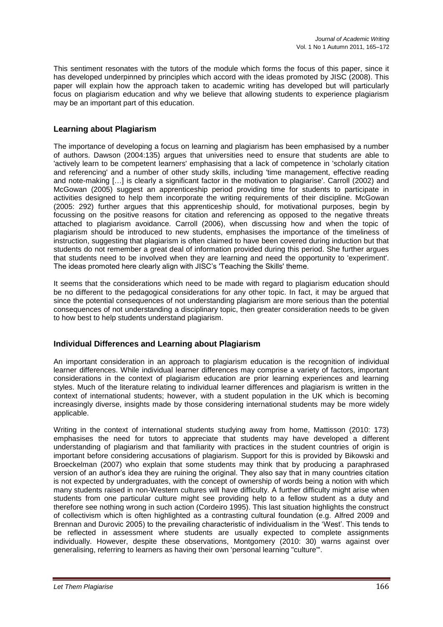This sentiment resonates with the tutors of the module which forms the focus of this paper, since it has developed underpinned by principles which accord with the ideas promoted by JISC (2008). This paper will explain how the approach taken to academic writing has developed but will particularly focus on plagiarism education and why we believe that allowing students to experience plagiarism may be an important part of this education.

#### **Learning about Plagiarism**

The importance of developing a focus on learning and plagiarism has been emphasised by a number of authors. Dawson (2004:135) argues that universities need to ensure that students are able to 'actively learn to be competent learners' emphasising that a lack of competence in 'scholarly citation and referencing' and a number of other study skills, including 'time management, effective reading and note-making […] is clearly a significant factor in the motivation to plagiarise'. Carroll (2002) and McGowan (2005) suggest an apprenticeship period providing time for students to participate in activities designed to help them incorporate the writing requirements of their discipline. McGowan (2005: 292) further argues that this apprenticeship should, for motivational purposes, begin by focussing on the positive reasons for citation and referencing as opposed to the negative threats attached to plagiarism avoidance. Carroll (2006), when discussing how and when the topic of plagiarism should be introduced to new students, emphasises the importance of the timeliness of instruction, suggesting that plagiarism is often claimed to have been covered during induction but that students do not remember a great deal of information provided during this period. She further argues that students need to be involved when they are learning and need the opportunity to 'experiment'. The ideas promoted here clearly align with JISC"s 'Teaching the Skills' theme.

It seems that the considerations which need to be made with regard to plagiarism education should be no different to the pedagogical considerations for any other topic. In fact, it may be argued that since the potential consequences of not understanding plagiarism are more serious than the potential consequences of not understanding a disciplinary topic, then greater consideration needs to be given to how best to help students understand plagiarism.

#### **Individual Differences and Learning about Plagiarism**

An important consideration in an approach to plagiarism education is the recognition of individual learner differences. While individual learner differences may comprise a variety of factors, important considerations in the context of plagiarism education are prior learning experiences and learning styles. Much of the literature relating to individual learner differences and plagiarism is written in the context of international students; however, with a student population in the UK which is becoming increasingly diverse, insights made by those considering international students may be more widely applicable.

Writing in the context of international students studying away from home, Mattisson (2010: 173) emphasises the need for tutors to appreciate that students may have developed a different understanding of plagiarism and that familiarity with practices in the student countries of origin is important before considering accusations of plagiarism. Support for this is provided by Bikowski and Broeckelman (2007) who explain that some students may think that by producing a paraphrased version of an author"s idea they are ruining the original. They also say that in many countries citation is not expected by undergraduates, with the concept of ownership of words being a notion with which many students raised in non-Western cultures will have difficulty. A further difficulty might arise when students from one particular culture might see providing help to a fellow student as a duty and therefore see nothing wrong in such action (Cordeiro 1995). This last situation highlights the construct of collectivism which is often highlighted as a contrasting cultural foundation (e.g. Alfred 2009 and Brennan and Durovic 2005) to the prevailing characteristic of individualism in the "West". This tends to be reflected in assessment where students are usually expected to complete assignments individually. However, despite these observations, Montgomery (2010: 30) warns against over generalising, referring to learners as having their own 'personal learning "culture"'.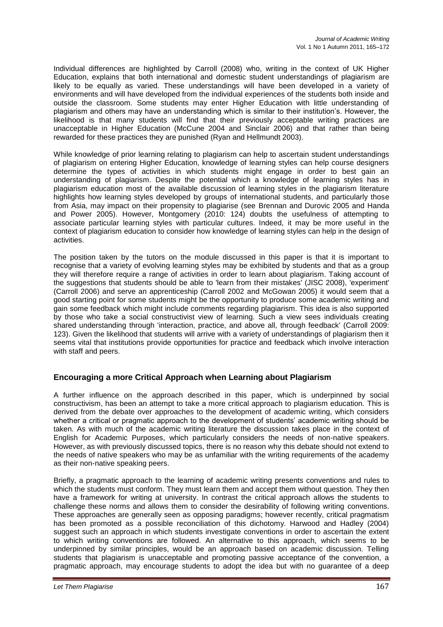Individual differences are highlighted by Carroll (2008) who, writing in the context of UK Higher Education, explains that both international and domestic student understandings of plagiarism are likely to be equally as varied. These understandings will have been developed in a variety of environments and will have developed from the individual experiences of the students both inside and outside the classroom. Some students may enter Higher Education with little understanding of plagiarism and others may have an understanding which is similar to their institution"s. However, the likelihood is that many students will find that their previously acceptable writing practices are unacceptable in Higher Education (McCune 2004 and Sinclair 2006) and that rather than being rewarded for these practices they are punished (Ryan and Hellmundt 2003).

While knowledge of prior learning relating to plagiarism can help to ascertain student understandings of plagiarism on entering Higher Education, knowledge of learning styles can help course designers determine the types of activities in which students might engage in order to best gain an understanding of plagiarism. Despite the potential which a knowledge of learning styles has in plagiarism education most of the available discussion of learning styles in the plagiarism literature highlights how learning styles developed by groups of international students, and particularly those from Asia, may impact on their propensity to plagiarise (see Brennan and Durovic 2005 and Handa and Power 2005). However, Montgomery (2010: 124) doubts the usefulness of attempting to associate particular learning styles with particular cultures. Indeed, it may be more useful in the context of plagiarism education to consider how knowledge of learning styles can help in the design of activities.

The position taken by the tutors on the module discussed in this paper is that it is important to recognise that a variety of evolving learning styles may be exhibited by students and that as a group they will therefore require a range of activities in order to learn about plagiarism. Taking account of the suggestions that students should be able to 'learn from their mistakes' (JISC 2008), 'experiment' (Carroll 2006) and serve an apprenticeship (Carroll 2002 and McGowan 2005) it would seem that a good starting point for some students might be the opportunity to produce some academic writing and gain some feedback which might include comments regarding plagiarism. This idea is also supported by those who take a social constructivist view of learning. Such a view sees individuals creating shared understanding through 'interaction, practice, and above all, through feedback' (Carroll 2009: 123). Given the likelihood that students will arrive with a variety of understandings of plagiarism then it seems vital that institutions provide opportunities for practice and feedback which involve interaction with staff and peers.

# **Encouraging a more Critical Approach when Learning about Plagiarism**

A further influence on the approach described in this paper, which is underpinned by social constructivism, has been an attempt to take a more critical approach to plagiarism education. This is derived from the debate over approaches to the development of academic writing, which considers whether a critical or pragmatic approach to the development of students' academic writing should be taken. As with much of the academic writing literature the discussion takes place in the context of English for Academic Purposes, which particularly considers the needs of non-native speakers. However, as with previously discussed topics, there is no reason why this debate should not extend to the needs of native speakers who may be as unfamiliar with the writing requirements of the academy as their non-native speaking peers.

Briefly, a pragmatic approach to the learning of academic writing presents conventions and rules to which the students must conform. They must learn them and accept them without question. They then have a framework for writing at university. In contrast the critical approach allows the students to challenge these norms and allows them to consider the desirability of following writing conventions. These approaches are generally seen as opposing paradigms; however recently, critical pragmatism has been promoted as a possible reconciliation of this dichotomy. Harwood and Hadley (2004) suggest such an approach in which students investigate conventions in order to ascertain the extent to which writing conventions are followed. An alternative to this approach, which seems to be underpinned by similar principles, would be an approach based on academic discussion. Telling students that plagiarism is unacceptable and promoting passive acceptance of the convention, a pragmatic approach, may encourage students to adopt the idea but with no guarantee of a deep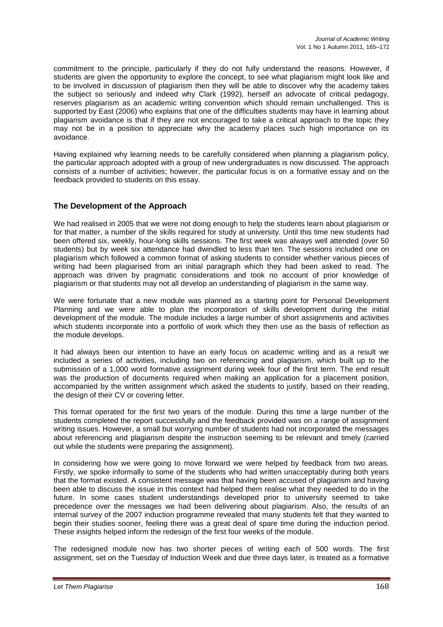commitment to the principle, particularly if they do not fully understand the reasons. However, if students are given the opportunity to explore the concept, to see what plagiarism might look like and to be involved in discussion of plagiarism then they will be able to discover why the academy takes the subject so seriously and indeed why Clark (1992), herself an advocate of critical pedagogy, reserves plagiarism as an academic writing convention which should remain unchallenged. This is supported by East (2006) who explains that one of the difficulties students may have in learning about plagiarism avoidance is that if they are not encouraged to take a critical approach to the topic they may not be in a position to appreciate why the academy places such high importance on its avoidance.

Having explained why learning needs to be carefully considered when planning a plagiarism policy, the particular approach adopted with a group of new undergraduates is now discussed. The approach consists of a number of activities; however, the particular focus is on a formative essay and on the feedback provided to students on this essay.

# **The Development of the Approach**

We had realised in 2005 that we were not doing enough to help the students learn about plagiarism or for that matter, a number of the skills required for study at university. Until this time new students had been offered six, weekly, hour-long skills sessions. The first week was always well attended (over 50 students) but by week six attendance had dwindled to less than ten. The sessions included one on plagiarism which followed a common format of asking students to consider whether various pieces of writing had been plagiarised from an initial paragraph which they had been asked to read. The approach was driven by pragmatic considerations and took no account of prior knowledge of plagiarism or that students may not all develop an understanding of plagiarism in the same way.

We were fortunate that a new module was planned as a starting point for Personal Development Planning and we were able to plan the incorporation of skills development during the initial development of the module. The module includes a large number of short assignments and activities which students incorporate into a portfolio of work which they then use as the basis of reflection as the module develops.

It had always been our intention to have an early focus on academic writing and as a result we included a series of activities, including two on referencing and plagiarism, which built up to the submission of a 1,000 word formative assignment during week four of the first term. The end result was the production of documents required when making an application for a placement position, accompanied by the written assignment which asked the students to justify, based on their reading, the design of their CV or covering letter.

This format operated for the first two years of the module. During this time a large number of the students completed the report successfully and the feedback provided was on a range of assignment writing issues. However, a small but worrying number of students had not incorporated the messages about referencing and plagiarism despite the instruction seeming to be relevant and timely (carried out while the students were preparing the assignment).

In considering how we were going to move forward we were helped by feedback from two areas. Firstly, we spoke informally to some of the students who had written unacceptably during both years that the format existed. A consistent message was that having been accused of plagiarism and having been able to discuss the issue in this context had helped them realise what they needed to do in the future. In some cases student understandings developed prior to university seemed to take precedence over the messages we had been delivering about plagiarism. Also, the results of an internal survey of the 2007 induction programme revealed that many students felt that they wanted to begin their studies sooner, feeling there was a great deal of spare time during the induction period. These insights helped inform the redesign of the first four weeks of the module.

The redesigned module now has two shorter pieces of writing each of 500 words. The first assignment, set on the Tuesday of Induction Week and due three days later, is treated as a formative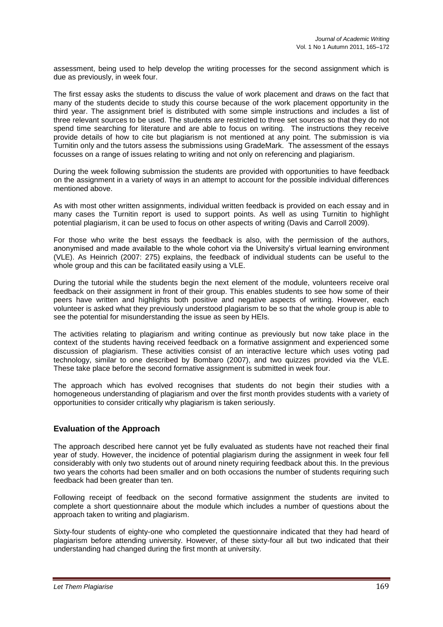assessment, being used to help develop the writing processes for the second assignment which is due as previously, in week four.

The first essay asks the students to discuss the value of work placement and draws on the fact that many of the students decide to study this course because of the work placement opportunity in the third year. The assignment brief is distributed with some simple instructions and includes a list of three relevant sources to be used. The students are restricted to three set sources so that they do not spend time searching for literature and are able to focus on writing. The instructions they receive provide details of how to cite but plagiarism is not mentioned at any point. The submission is via Turnitin only and the tutors assess the submissions using GradeMark. The assessment of the essays focusses on a range of issues relating to writing and not only on referencing and plagiarism.

During the week following submission the students are provided with opportunities to have feedback on the assignment in a variety of ways in an attempt to account for the possible individual differences mentioned above.

As with most other written assignments, individual written feedback is provided on each essay and in many cases the Turnitin report is used to support points. As well as using Turnitin to highlight potential plagiarism, it can be used to focus on other aspects of writing (Davis and Carroll 2009).

For those who write the best essays the feedback is also, with the permission of the authors, anonymised and made available to the whole cohort via the University"s virtual learning environment (VLE). As Heinrich (2007: 275) explains, the feedback of individual students can be useful to the whole group and this can be facilitated easily using a VLE.

During the tutorial while the students begin the next element of the module, volunteers receive oral feedback on their assignment in front of their group. This enables students to see how some of their peers have written and highlights both positive and negative aspects of writing. However, each volunteer is asked what they previously understood plagiarism to be so that the whole group is able to see the potential for misunderstanding the issue as seen by HEIs.

The activities relating to plagiarism and writing continue as previously but now take place in the context of the students having received feedback on a formative assignment and experienced some discussion of plagiarism. These activities consist of an interactive lecture which uses voting pad technology, similar to one described by Bombaro (2007), and two quizzes provided via the VLE. These take place before the second formative assignment is submitted in week four.

The approach which has evolved recognises that students do not begin their studies with a homogeneous understanding of plagiarism and over the first month provides students with a variety of opportunities to consider critically why plagiarism is taken seriously.

# **Evaluation of the Approach**

The approach described here cannot yet be fully evaluated as students have not reached their final year of study. However, the incidence of potential plagiarism during the assignment in week four fell considerably with only two students out of around ninety requiring feedback about this. In the previous two years the cohorts had been smaller and on both occasions the number of students requiring such feedback had been greater than ten.

Following receipt of feedback on the second formative assignment the students are invited to complete a short questionnaire about the module which includes a number of questions about the approach taken to writing and plagiarism.

Sixty-four students of eighty-one who completed the questionnaire indicated that they had heard of plagiarism before attending university. However, of these sixty-four all but two indicated that their understanding had changed during the first month at university.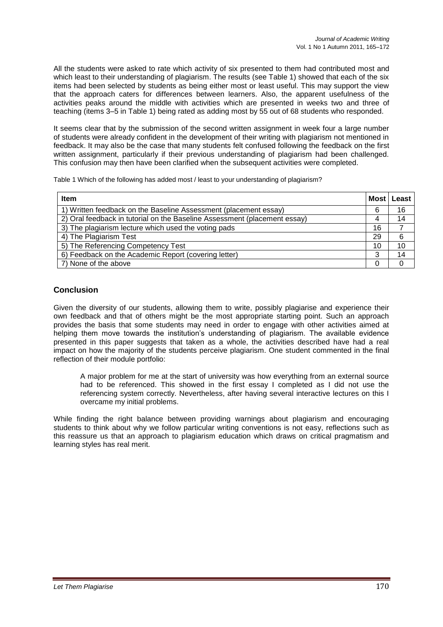All the students were asked to rate which activity of six presented to them had contributed most and which least to their understanding of plagiarism. The results (see Table 1) showed that each of the six items had been selected by students as being either most or least useful. This may support the view that the approach caters for differences between learners. Also, the apparent usefulness of the activities peaks around the middle with activities which are presented in weeks two and three of teaching (items 3–5 in Table 1) being rated as adding most by 55 out of 68 students who responded.

It seems clear that by the submission of the second written assignment in week four a large number of students were already confident in the development of their writing with plagiarism not mentioned in feedback. It may also be the case that many students felt confused following the feedback on the first written assignment, particularly if their previous understanding of plagiarism had been challenged. This confusion may then have been clarified when the subsequent activities were completed.

Table 1 Which of the following has added most / least to your understanding of plagiarism?

| <b>Item</b>                                                               | Most | Least |
|---------------------------------------------------------------------------|------|-------|
| 1) Written feedback on the Baseline Assessment (placement essay)          | 6    | 16    |
| 2) Oral feedback in tutorial on the Baseline Assessment (placement essay) |      | 14    |
| 3) The plagiarism lecture which used the voting pads                      | 16   |       |
| 4) The Plagiarism Test                                                    | 29   | 6     |
| 5) The Referencing Competency Test                                        | 10   | 10    |
| 6) Feedback on the Academic Report (covering letter)                      |      | 14    |
| 7) None of the above                                                      |      |       |

# **Conclusion**

Given the diversity of our students, allowing them to write, possibly plagiarise and experience their own feedback and that of others might be the most appropriate starting point. Such an approach provides the basis that some students may need in order to engage with other activities aimed at helping them move towards the institution's understanding of plagiarism. The available evidence presented in this paper suggests that taken as a whole, the activities described have had a real impact on how the majority of the students perceive plagiarism. One student commented in the final reflection of their module portfolio:

A major problem for me at the start of university was how everything from an external source had to be referenced. This showed in the first essay I completed as I did not use the referencing system correctly. Nevertheless, after having several interactive lectures on this I overcame my initial problems.

While finding the right balance between providing warnings about plagiarism and encouraging students to think about why we follow particular writing conventions is not easy, reflections such as this reassure us that an approach to plagiarism education which draws on critical pragmatism and learning styles has real merit.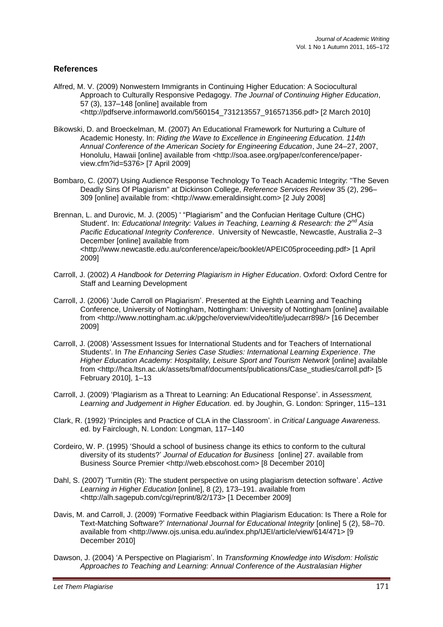### **References**

- Alfred, M. V. (2009) Nonwestern Immigrants in Continuing Higher Education: A Sociocultural Approach to Culturally Responsive Pedagogy. *The Journal of Continuing Higher Education*, 57 (3), 137–148 [online] available from <http://pdfserve.informaworld.com/560154\_731213557\_916571356.pdf> [2 March 2010]
- Bikowski, D. and Broeckelman, M. (2007) An Educational Framework for Nurturing a Culture of Academic Honesty. In: *Riding the Wave to Excellence in Engineering Education. 114th Annual Conference of the American Society for Engineering Education*, June 24–27, 2007, Honolulu, Hawaii [online] available from <http://soa.asee.org/paper/conference/paperview.cfm?id=5376> [7 April 2009]
- Bombaro, C. (2007) Using Audience Response Technology To Teach Academic Integrity: "The Seven Deadly Sins Of Plagiarism" at Dickinson College, *Reference Services Review* 35 (2), 296– 309 [online] available from: <http://www.emeraldinsight.com> [2 July 2008]
- Brennan, L. and Durovic, M. J. (2005) ' "Plagiarism" and the Confucian Heritage Culture (CHC) Student'. In: *Educational Integrity: Values in Teaching, Learning & Research: the 2nd Asia Pacific Educational Integrity Conference*. University of Newcastle, Newcastle, Australia 2–3 December [online] available from <http://www.newcastle.edu.au/conference/apeic/booklet/APEIC05proceeding.pdf> [1 April 2009]
- Carroll, J. (2002) *A Handbook for Deterring Plagiarism in Higher Education*. Oxford: Oxford Centre for Staff and Learning Development
- Carroll, J. (2006) "Jude Carroll on Plagiarism". Presented at the Eighth Learning and Teaching Conference, University of Nottingham, Nottingham: University of Nottingham [online] available from <http://www.nottingham.ac.uk/pgche/overview/video/title/judecarr898/> [16 December 2009]
- Carroll, J. (2008) 'Assessment Issues for International Students and for Teachers of International Students'. In *The Enhancing Series Case Studies: International Learning Experience*. *The Higher Education Academy: Hospitality, Leisure Sport and Tourism Network* [online] available from <http://hca.ltsn.ac.uk/assets/bmaf/documents/publications/Case\_studies/carroll.pdf> [5 February 2010], 1–13
- Carroll, J. (2009) "Plagiarism as a Threat to Learning: An Educational Response". in *Assessment, Learning and Judgement in Higher Education.* ed. by Joughin, G. London: Springer, 115–131
- Clark, R. (1992) "Principles and Practice of CLA in the Classroom". in *Critical Language Awareness.*  ed. by Fairclough, N. London: Longman, 117–140
- Cordeiro, W. P. (1995) "Should a school of business change its ethics to conform to the cultural diversity of its students?" *Journal of Education for Business* [online] 27. available from Business Source Premier <http://web.ebscohost.com> [8 December 2010]
- Dahl, S. (2007) "Turnitin (R): The student perspective on using plagiarism detection software". *Active Learning in Higher Education* [online], 8 (2), 173–191. available from <http://alh.sagepub.com/cgi/reprint/8/2/173> [1 December 2009]
- Davis, M. and Carroll, J. (2009) "Formative Feedback within Plagiarism Education: Is There a Role for Text-Matching Software?" *International Journal for Educational Integrity* [online] 5 (2), 58–70. available from <http://www.ojs.unisa.edu.au/index.php/IJEI/article/view/614/471> [9 December 2010]
- Dawson, J. (2004) "A Perspective on Plagiarism". In *Transforming Knowledge into Wisdom: Holistic Approaches to Teaching and Learning: Annual Conference of the Australasian Higher*